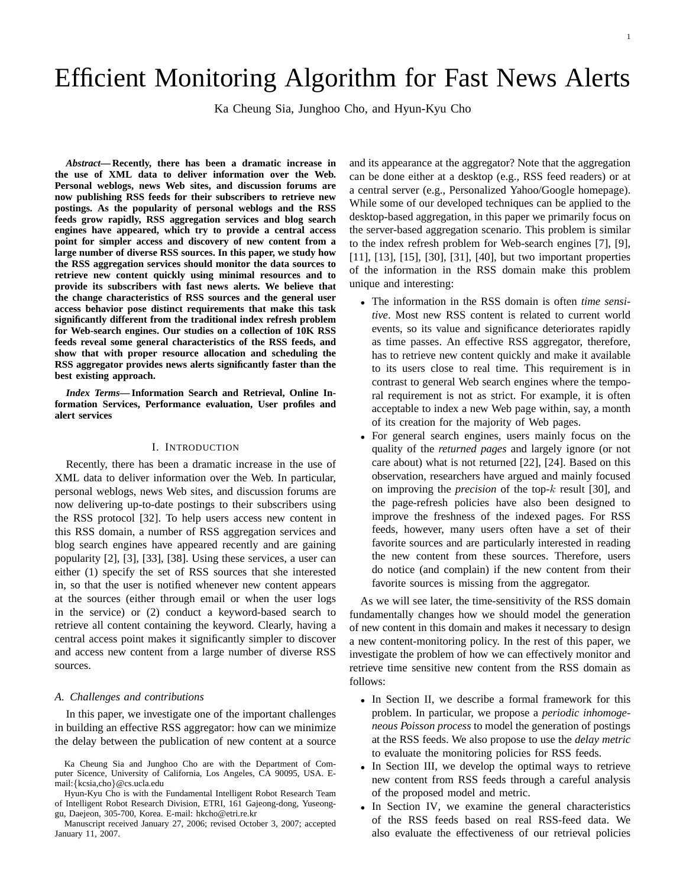# Efficient Monitoring Algorithm for Fast News Alerts

Ka Cheung Sia, Junghoo Cho, and Hyun-Kyu Cho

*Abstract***— Recently, there has been a dramatic increase in the use of XML data to deliver information over the Web. Personal weblogs, news Web sites, and discussion forums are now publishing RSS feeds for their subscribers to retrieve new postings. As the popularity of personal weblogs and the RSS feeds grow rapidly, RSS aggregation services and blog search engines have appeared, which try to provide a central access point for simpler access and discovery of new content from a large number of diverse RSS sources. In this paper, we study how the RSS aggregation services should monitor the data sources to retrieve new content quickly using minimal resources and to provide its subscribers with fast news alerts. We believe that the change characteristics of RSS sources and the general user access behavior pose distinct requirements that make this task significantly different from the traditional index refresh problem for Web-search engines. Our studies on a collection of 10K RSS feeds reveal some general characteristics of the RSS feeds, and show that with proper resource allocation and scheduling the RSS aggregator provides news alerts significantly faster than the best existing approach.**

*Index Terms***— Information Search and Retrieval, Online Information Services, Performance evaluation, User profiles and alert services**

#### I. INTRODUCTION

Recently, there has been a dramatic increase in the use of XML data to deliver information over the Web. In particular, personal weblogs, news Web sites, and discussion forums are now delivering up-to-date postings to their subscribers using the RSS protocol [32]. To help users access new content in this RSS domain, a number of RSS aggregation services and blog search engines have appeared recently and are gaining popularity [2], [3], [33], [38]. Using these services, a user can either (1) specify the set of RSS sources that she interested in, so that the user is notified whenever new content appears at the sources (either through email or when the user logs in the service) or (2) conduct a keyword-based search to retrieve all content containing the keyword. Clearly, having a central access point makes it significantly simpler to discover and access new content from a large number of diverse RSS sources.

#### *A. Challenges and contributions*

In this paper, we investigate one of the important challenges in building an effective RSS aggregator: how can we minimize the delay between the publication of new content at a source

Manuscript received January 27, 2006; revised October 3, 2007; accepted January 11, 2007.

and its appearance at the aggregator? Note that the aggregation can be done either at a desktop (e.g., RSS feed readers) or at a central server (e.g., Personalized Yahoo/Google homepage). While some of our developed techniques can be applied to the desktop-based aggregation, in this paper we primarily focus on the server-based aggregation scenario. This problem is similar to the index refresh problem for Web-search engines [7], [9], [11], [13], [15], [30], [31], [40], but two important properties of the information in the RSS domain make this problem unique and interesting:

- The information in the RSS domain is often *time sensitive*. Most new RSS content is related to current world events, so its value and significance deteriorates rapidly as time passes. An effective RSS aggregator, therefore, has to retrieve new content quickly and make it available to its users close to real time. This requirement is in contrast to general Web search engines where the temporal requirement is not as strict. For example, it is often acceptable to index a new Web page within, say, a month of its creation for the majority of Web pages.
- For general search engines, users mainly focus on the quality of the *returned pages* and largely ignore (or not care about) what is not returned [22], [24]. Based on this observation, researchers have argued and mainly focused on improving the *precision* of the top-k result [30], and the page-refresh policies have also been designed to improve the freshness of the indexed pages. For RSS feeds, however, many users often have a set of their favorite sources and are particularly interested in reading the new content from these sources. Therefore, users do notice (and complain) if the new content from their favorite sources is missing from the aggregator.

As we will see later, the time-sensitivity of the RSS domain fundamentally changes how we should model the generation of new content in this domain and makes it necessary to design a new content-monitoring policy. In the rest of this paper, we investigate the problem of how we can effectively monitor and retrieve time sensitive new content from the RSS domain as follows:

- In Section II, we describe a formal framework for this problem. In particular, we propose a *periodic inhomogeneous Poisson process* to model the generation of postings at the RSS feeds. We also propose to use the *delay metric* to evaluate the monitoring policies for RSS feeds.
- In Section III, we develop the optimal ways to retrieve new content from RSS feeds through a careful analysis of the proposed model and metric.
- In Section IV, we examine the general characteristics of the RSS feeds based on real RSS-feed data. We also evaluate the effectiveness of our retrieval policies

Ka Cheung Sia and Junghoo Cho are with the Department of Computer Sicence, University of California, Los Angeles, CA 90095, USA. Email:{kcsia,cho}@cs.ucla.edu

Hyun-Kyu Cho is with the Fundamental Intelligent Robot Research Team of Intelligent Robot Research Division, ETRI, 161 Gajeong-dong, Yuseonggu, Daejeon, 305-700, Korea. E-mail: hkcho@etri.re.kr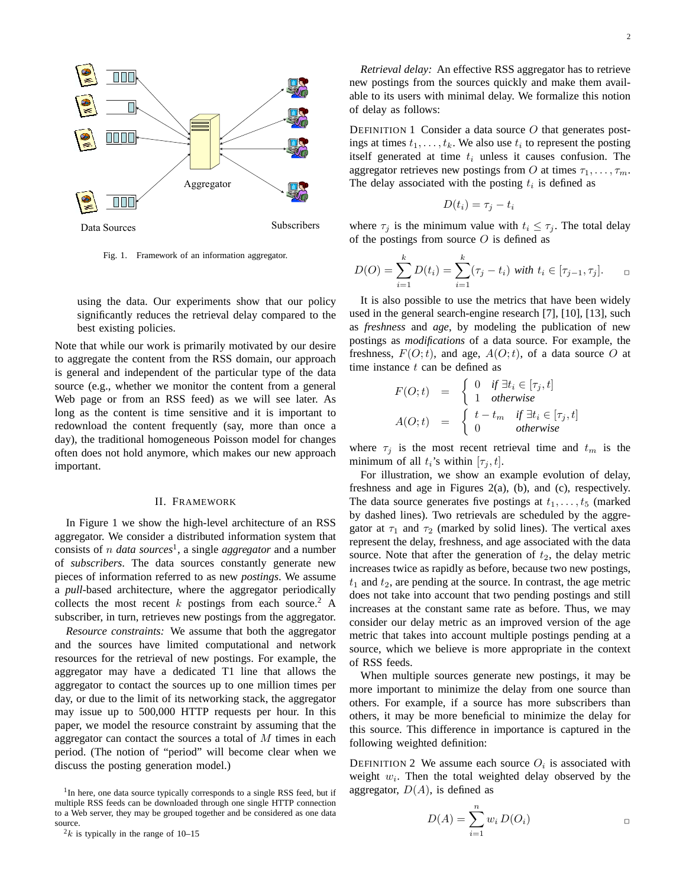

Fig. 1. Framework of an information aggregator.

using the data. Our experiments show that our policy significantly reduces the retrieval delay compared to the best existing policies.

Note that while our work is primarily motivated by our desire to aggregate the content from the RSS domain, our approach is general and independent of the particular type of the data source (e.g., whether we monitor the content from a general Web page or from an RSS feed) as we will see later. As long as the content is time sensitive and it is important to redownload the content frequently (say, more than once a day), the traditional homogeneous Poisson model for changes often does not hold anymore, which makes our new approach important.

#### II. FRAMEWORK

In Figure 1 we show the high-level architecture of an RSS aggregator. We consider a distributed information system that consists of n *data sources*<sup>1</sup> , a single *aggregator* and a number of *subscribers*. The data sources constantly generate new pieces of information referred to as new *postings*. We assume a *pull*-based architecture, where the aggregator periodically collects the most recent k postings from each source.<sup>2</sup> A subscriber, in turn, retrieves new postings from the aggregator.

*Resource constraints:* We assume that both the aggregator and the sources have limited computational and network resources for the retrieval of new postings. For example, the aggregator may have a dedicated T1 line that allows the aggregator to contact the sources up to one million times per day, or due to the limit of its networking stack, the aggregator may issue up to 500,000 HTTP requests per hour. In this paper, we model the resource constraint by assuming that the aggregator can contact the sources a total of  $M$  times in each period. (The notion of "period" will become clear when we discuss the posting generation model.)

<sup>1</sup>In here, one data source typically corresponds to a single RSS feed, but if multiple RSS feeds can be downloaded through one single HTTP connection to a Web server, they may be grouped together and be considered as one data source.

 $2k$  is typically in the range of 10–15

*Retrieval delay:* An effective RSS aggregator has to retrieve new postings from the sources quickly and make them available to its users with minimal delay. We formalize this notion of delay as follows:

DEFINITION 1 Consider a data source  $O$  that generates postings at times  $t_1, \ldots, t_k$ . We also use  $t_i$  to represent the posting itself generated at time  $t_i$  unless it causes confusion. The aggregator retrieves new postings from O at times  $\tau_1, \ldots, \tau_m$ . The delay associated with the posting  $t_i$  is defined as

$$
D(t_i) = \tau_j - t_i
$$

where  $\tau_j$  is the minimum value with  $t_i \leq \tau_j$ . The total delay of the postings from source  $O$  is defined as

$$
D(O) = \sum_{i=1}^{k} D(t_i) = \sum_{i=1}^{k} (\tau_j - t_i) \text{ with } t_i \in [\tau_{j-1}, \tau_j]. \qquad \Box
$$

It is also possible to use the metrics that have been widely used in the general search-engine research [7], [10], [13], such as *freshness* and *age*, by modeling the publication of new postings as *modifications* of a data source. For example, the freshness,  $F(O; t)$ , and age,  $A(O; t)$ , of a data source O at time instance  $t$  can be defined as

$$
F(O; t) = \begin{cases} 0 & \text{if } \exists t_i \in [\tau_j, t] \\ 1 & \text{otherwise} \end{cases}
$$

$$
A(O; t) = \begin{cases} t - t_m & \text{if } \exists t_i \in [\tau_j, t] \\ 0 & \text{otherwise} \end{cases}
$$

where  $\tau_j$  is the most recent retrieval time and  $t_m$  is the minimum of all  $t_i$ 's within  $[\tau_j, t]$ .

For illustration, we show an example evolution of delay, freshness and age in Figures 2(a), (b), and (c), respectively. The data source generates five postings at  $t_1, \ldots, t_5$  (marked by dashed lines). Two retrievals are scheduled by the aggregator at  $\tau_1$  and  $\tau_2$  (marked by solid lines). The vertical axes represent the delay, freshness, and age associated with the data source. Note that after the generation of  $t_2$ , the delay metric increases twice as rapidly as before, because two new postings,  $t_1$  and  $t_2$ , are pending at the source. In contrast, the age metric does not take into account that two pending postings and still increases at the constant same rate as before. Thus, we may consider our delay metric as an improved version of the age metric that takes into account multiple postings pending at a source, which we believe is more appropriate in the context of RSS feeds.

When multiple sources generate new postings, it may be more important to minimize the delay from one source than others. For example, if a source has more subscribers than others, it may be more beneficial to minimize the delay for this source. This difference in importance is captured in the following weighted definition:

DEFINITION 2 We assume each source  $O_i$  is associated with weight  $w_i$ . Then the total weighted delay observed by the aggregator,  $D(A)$ , is defined as

$$
D(A) = \sum_{i=1}^{n} w_i D(O_i)
$$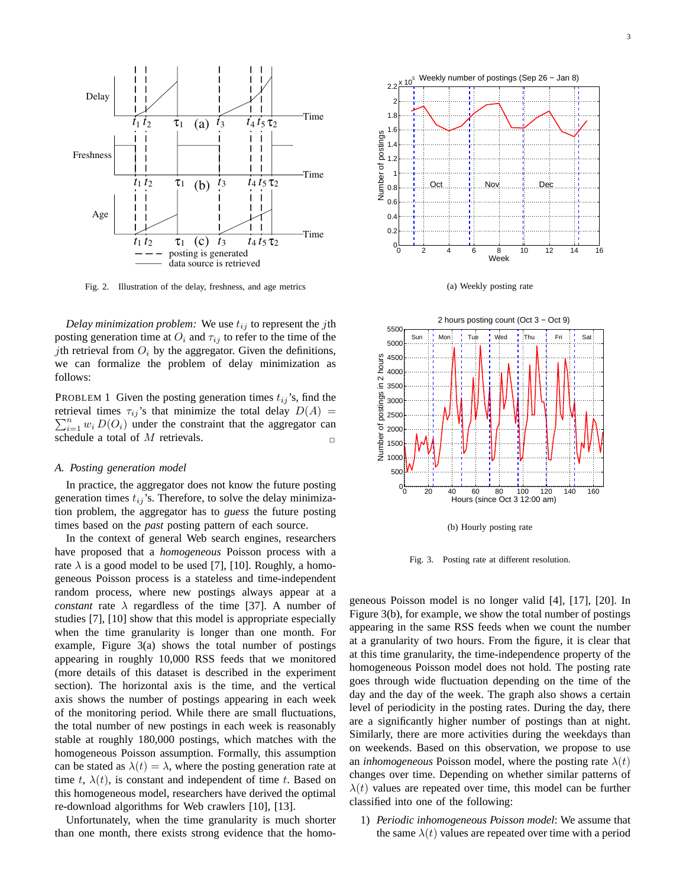

Fig. 2. Illustration of the delay, freshness, and age metrics

*Delay minimization problem:* We use  $t_{ij}$  to represent the *j*th posting generation time at  $O_i$  and  $\tau_{ij}$  to refer to the time of the jth retrieval from  $O_i$  by the aggregator. Given the definitions, we can formalize the problem of delay minimization as follows:

PROBLEM 1 Given the posting generation times  $t_{ij}$ 's, find the  $\sum_{i=1}^{n} w_i D(O_i)$  under the constraint that the aggregator can retrieval times  $\tau_{ij}$ 's that minimize the total delay  $D(A)$  = schedule a total of  $M$  retrievals.

#### *A. Posting generation model*

In practice, the aggregator does not know the future posting generation times  $t_{ij}$ 's. Therefore, to solve the delay minimization problem, the aggregator has to *guess* the future posting times based on the *past* posting pattern of each source.

In the context of general Web search engines, researchers have proposed that a *homogeneous* Poisson process with a rate  $\lambda$  is a good model to be used [7], [10]. Roughly, a homogeneous Poisson process is a stateless and time-independent random process, where new postings always appear at a *constant* rate  $\lambda$  regardless of the time [37]. A number of studies [7], [10] show that this model is appropriate especially when the time granularity is longer than one month. For example, Figure 3(a) shows the total number of postings appearing in roughly 10,000 RSS feeds that we monitored (more details of this dataset is described in the experiment section). The horizontal axis is the time, and the vertical axis shows the number of postings appearing in each week of the monitoring period. While there are small fluctuations, the total number of new postings in each week is reasonably stable at roughly 180,000 postings, which matches with the homogeneous Poisson assumption. Formally, this assumption can be stated as  $\lambda(t) = \lambda$ , where the posting generation rate at time t,  $\lambda(t)$ , is constant and independent of time t. Based on this homogeneous model, researchers have derived the optimal re-download algorithms for Web crawlers [10], [13].

Unfortunately, when the time granularity is much shorter than one month, there exists strong evidence that the homo-







(b) Hourly posting rate

Fig. 3. Posting rate at different resolution.

geneous Poisson model is no longer valid [4], [17], [20]. In Figure 3(b), for example, we show the total number of postings appearing in the same RSS feeds when we count the number at a granularity of two hours. From the figure, it is clear that at this time granularity, the time-independence property of the homogeneous Poisson model does not hold. The posting rate goes through wide fluctuation depending on the time of the day and the day of the week. The graph also shows a certain level of periodicity in the posting rates. During the day, there are a significantly higher number of postings than at night. Similarly, there are more activities during the weekdays than on weekends. Based on this observation, we propose to use an *inhomogeneous* Poisson model, where the posting rate  $\lambda(t)$ changes over time. Depending on whether similar patterns of  $\lambda(t)$  values are repeated over time, this model can be further classified into one of the following:

1) *Periodic inhomogeneous Poisson model*: We assume that the same  $\lambda(t)$  values are repeated over time with a period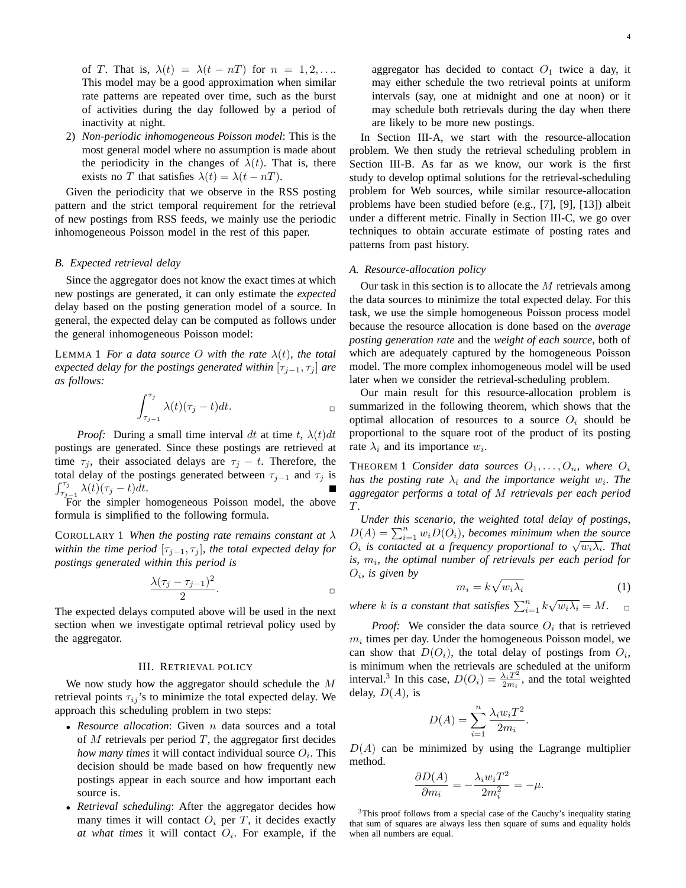of T. That is,  $\lambda(t) = \lambda(t - nT)$  for  $n = 1, 2, \ldots$ This model may be a good approximation when similar rate patterns are repeated over time, such as the burst of activities during the day followed by a period of inactivity at night.

2) *Non-periodic inhomogeneous Poisson model*: This is the most general model where no assumption is made about the periodicity in the changes of  $\lambda(t)$ . That is, there exists no T that satisfies  $\lambda(t) = \lambda(t - nT)$ .

Given the periodicity that we observe in the RSS posting pattern and the strict temporal requirement for the retrieval of new postings from RSS feeds, we mainly use the periodic inhomogeneous Poisson model in the rest of this paper.

# *B. Expected retrieval delay*

Since the aggregator does not know the exact times at which new postings are generated, it can only estimate the *expected* delay based on the posting generation model of a source. In general, the expected delay can be computed as follows under the general inhomogeneous Poisson model:

**LEMMA 1** For a data source O with the rate  $\lambda(t)$ , the total *expected delay for the postings generated within*  $[\tau_{j-1}, \tau_j]$  *are as follows:*

$$
\int_{\tau_{j-1}}^{\tau_j} \lambda(t) (\tau_j - t) dt.
$$

*Proof:* During a small time interval dt at time t,  $\lambda(t)dt$ postings are generated. Since these postings are retrieved at time  $\tau_j$ , their associated delays are  $\tau_j - t$ . Therefore, the total delay of the postings generated between  $\tau_{j-1}$  and  $\tau_j$  is  $\int_{\tau_{j-1}}^{\tau_j} \lambda(t)(\tau_j-t)dt$ .

For the simpler homogeneous Poisson model, the above formula is simplified to the following formula.

COROLLARY 1 *When the posting rate remains constant at* λ *within the time period*  $[\tau_{j-1}, \tau_j]$ *, the total expected delay for postings generated within this period is*

$$
\frac{\lambda(\tau_j-\tau_{j-1})^2}{2}.
$$

The expected delays computed above will be used in the next section when we investigate optimal retrieval policy used by the aggregator.

# III. RETRIEVAL POLICY

We now study how the aggregator should schedule the M retrieval points  $\tau_{ij}$ 's to minimize the total expected delay. We approach this scheduling problem in two steps:

- *Resource allocation*: Given n data sources and a total of  $M$  retrievals per period  $T$ , the aggregator first decides *how many times* it will contact individual source  $O_i$ . This decision should be made based on how frequently new postings appear in each source and how important each source is.
- *Retrieval scheduling*: After the aggregator decides how many times it will contact  $O_i$  per T, it decides exactly *at what times* it will contact  $O_i$ . For example, if the

aggregator has decided to contact  $O_1$  twice a day, it may either schedule the two retrieval points at uniform intervals (say, one at midnight and one at noon) or it may schedule both retrievals during the day when there are likely to be more new postings.

In Section III-A, we start with the resource-allocation problem. We then study the retrieval scheduling problem in Section III-B. As far as we know, our work is the first study to develop optimal solutions for the retrieval-scheduling problem for Web sources, while similar resource-allocation problems have been studied before (e.g., [7], [9], [13]) albeit under a different metric. Finally in Section III-C, we go over techniques to obtain accurate estimate of posting rates and patterns from past history.

# *A. Resource-allocation policy*

Our task in this section is to allocate the  $M$  retrievals among the data sources to minimize the total expected delay. For this task, we use the simple homogeneous Poisson process model because the resource allocation is done based on the *average posting generation rate* and the *weight of each source*, both of which are adequately captured by the homogeneous Poisson model. The more complex inhomogeneous model will be used later when we consider the retrieval-scheduling problem.

Our main result for this resource-allocation problem is summarized in the following theorem, which shows that the optimal allocation of resources to a source  $O_i$  should be proportional to the square root of the product of its posting rate  $\lambda_i$  and its importance  $w_i$ .

**THEOREM 1 Consider data sources**  $O_1, \ldots, O_n$ , where  $O_i$ *has the posting rate*  $\lambda_i$  *and the importance weight*  $w_i$ *. The aggregator performs a total of* M *retrievals per each period* T*.*

*Under this scenario, the weighted total delay of postings,*  $D(A) = \sum_{i=1}^{n} w_i D(O_i)$ , becomes minimum when the source  $O_i$  is contacted at a frequency proportional to  $\sqrt{w_i\lambda_i}$ . That *is,* m<sup>i</sup> *, the optimal number of retrievals per each period for*  $O_i$ , is given by

$$
m_i = k\sqrt{w_i\lambda_i} \tag{1}
$$

.

where *k* is a constant that satisfies  $\sum_{i=1}^{n} k \sqrt{w_i \lambda_i} = M$ .

*Proof:* We consider the data source  $O_i$  that is retrieved  $m_i$  times per day. Under the homogeneous Poisson model, we can show that  $D(O_i)$ , the total delay of postings from  $O_i$ , is minimum when the retrievals are scheduled at the uniform interval.<sup>3</sup> In this case,  $D(O_i) = \frac{\lambda_i T^2}{2m_i}$  $\frac{\lambda_i T^2}{2m_i}$ , and the total weighted delay,  $D(A)$ , is

$$
D(A) = \sum_{i=1}^{n} \frac{\lambda_i w_i T^2}{2m_i}
$$

 $D(A)$  can be minimized by using the Lagrange multiplier method.

$$
\frac{\partial D(A)}{\partial m_i} = -\frac{\lambda_i w_i T^2}{2m_i^2} = -\mu.
$$

<sup>3</sup>This proof follows from a special case of the Cauchy's inequality stating that sum of squares are always less then square of sums and equality holds when all numbers are equal.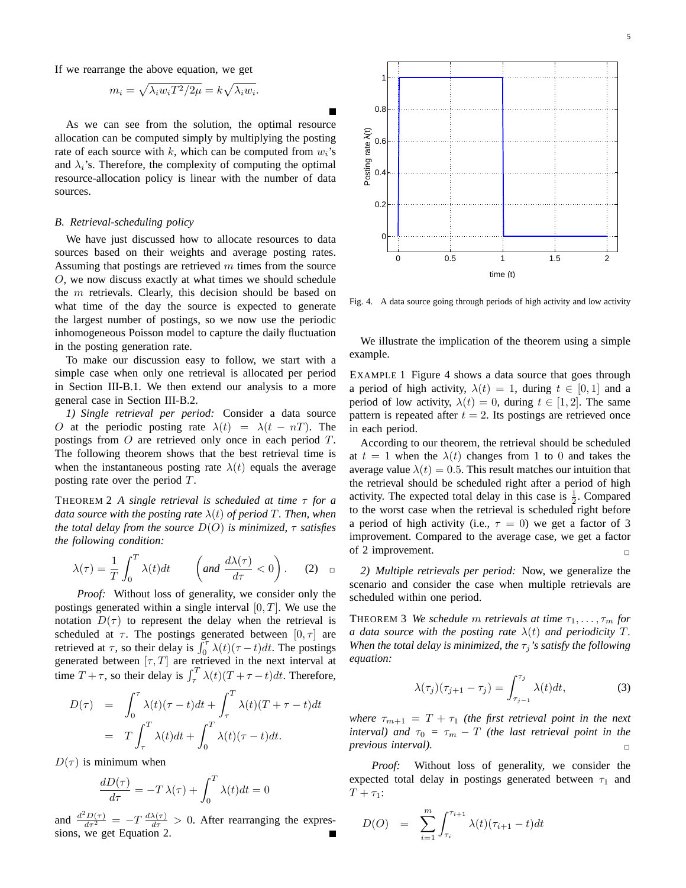If we rearrange the above equation, we get

$$
m_i = \sqrt{\lambda_i w_i T^2 / 2\mu} = k \sqrt{\lambda_i w_i}.
$$

As we can see from the solution, the optimal resource allocation can be computed simply by multiplying the posting rate of each source with k, which can be computed from  $w_i$ 's and  $\lambda_i$ 's. Therefore, the complexity of computing the optimal resource-allocation policy is linear with the number of data sources.

# *B. Retrieval-scheduling policy*

We have just discussed how to allocate resources to data sources based on their weights and average posting rates. Assuming that postings are retrieved  $m$  times from the source O, we now discuss exactly at what times we should schedule the m retrievals. Clearly, this decision should be based on what time of the day the source is expected to generate the largest number of postings, so we now use the periodic inhomogeneous Poisson model to capture the daily fluctuation in the posting generation rate.

To make our discussion easy to follow, we start with a simple case when only one retrieval is allocated per period in Section III-B.1. We then extend our analysis to a more general case in Section III-B.2.

*1) Single retrieval per period:* Consider a data source O at the periodic posting rate  $\lambda(t) = \lambda(t - nT)$ . The postings from O are retrieved only once in each period T. The following theorem shows that the best retrieval time is when the instantaneous posting rate  $\lambda(t)$  equals the average posting rate over the period T.

THEOREM 2 *A single retrieval is scheduled at time* τ *for a data source with the posting rate*  $\lambda(t)$  *of period* T. Then, when *the total delay from the source*  $D(O)$  *is minimized,*  $\tau$  *satisfies the following condition:*

$$
\lambda(\tau) = \frac{1}{T} \int_0^T \lambda(t) dt \qquad \left( \text{and } \frac{d\lambda(\tau)}{d\tau} < 0 \right). \tag{2}
$$

*Proof:* Without loss of generality, we consider only the postings generated within a single interval  $[0, T]$ . We use the notation  $D(\tau)$  to represent the delay when the retrieval is scheduled at  $\tau$ . The postings generated between  $[0, \tau]$  are retrieved at  $\tau$ , so their delay is  $\int_0^{\tau} \lambda(t) (\tau - t) dt$ . The postings generated between  $[\tau, T]$  are retrieved in the next interval at time  $T + \tau$ , so their delay is  $\int_{\tau}^{T} \lambda(t) (T + \tau - t) dt$ . Therefore,

$$
D(\tau) = \int_0^{\tau} \lambda(t)(\tau - t)dt + \int_{\tau}^T \lambda(t)(T + \tau - t)dt
$$
  
=  $T \int_{\tau}^T \lambda(t)dt + \int_0^T \lambda(t)(\tau - t)dt.$ 

 $D(\tau)$  is minimum when

$$
\frac{dD(\tau)}{d\tau} = -T\lambda(\tau) + \int_0^T \lambda(t)dt = 0
$$

and  $\frac{d^2D(\tau)}{d\tau^2} = -T \frac{d\lambda(\tau)}{d\tau} > 0$ . After rearranging the expressions, we get Equation 2.



Fig. 4. A data source going through periods of high activity and low activity

We illustrate the implication of the theorem using a simple example.

EXAMPLE 1 Figure 4 shows a data source that goes through a period of high activity,  $\lambda(t) = 1$ , during  $t \in [0, 1]$  and a period of low activity,  $\lambda(t) = 0$ , during  $t \in [1, 2]$ . The same pattern is repeated after  $t = 2$ . Its postings are retrieved once in each period.

According to our theorem, the retrieval should be scheduled at  $t = 1$  when the  $\lambda(t)$  changes from 1 to 0 and takes the average value  $\lambda(t) = 0.5$ . This result matches our intuition that the retrieval should be scheduled right after a period of high activity. The expected total delay in this case is  $\frac{1}{2}$ . Compared to the worst case when the retrieval is scheduled right before a period of high activity (i.e.,  $\tau = 0$ ) we get a factor of 3 improvement. Compared to the average case, we get a factor of 2 improvement.  $\Box$ 

*2) Multiple retrievals per period:* Now, we generalize the scenario and consider the case when multiple retrievals are scheduled within one period.

THEOREM 3 *We schedule m retrievals at time*  $\tau_1, \ldots, \tau_m$  *for a data source with the posting rate*  $\lambda(t)$  *and periodicity* T. *When the total delay is minimized, the*  $\tau_j$ *'s satisfy the following equation:*

$$
\lambda(\tau_j)(\tau_{j+1} - \tau_j) = \int_{\tau_{j-1}}^{\tau_j} \lambda(t)dt,\tag{3}
$$

*where*  $\tau_{m+1} = T + \tau_1$  *(the first retrieval point in the next interval)* and  $\tau_0 = \tau_m - T$  *(the last retrieval point in the previous interval).* 

*Proof:* Without loss of generality, we consider the expected total delay in postings generated between  $\tau_1$  and  $T + \tau_1$ :

$$
D(O) = \sum_{i=1}^{m} \int_{\tau_i}^{\tau_{i+1}} \lambda(t) (\tau_{i+1} - t) dt
$$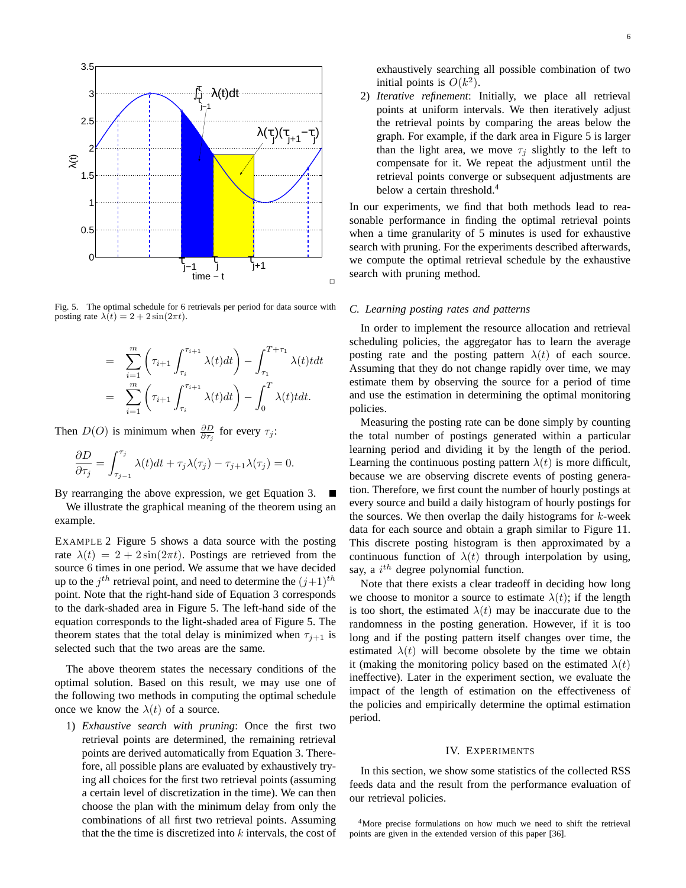

Fig. 5. The optimal schedule for 6 retrievals per period for data source with posting rate  $\lambda(t) = 2 + 2 \sin(2\pi t)$ .

$$
= \sum_{i=1}^{m} \left( \tau_{i+1} \int_{\tau_i}^{\tau_{i+1}} \lambda(t) dt \right) - \int_{\tau_1}^{T+\tau_1} \lambda(t) dt
$$

$$
= \sum_{i=1}^{m} \left( \tau_{i+1} \int_{\tau_i}^{\tau_{i+1}} \lambda(t) dt \right) - \int_0^T \lambda(t) t dt.
$$

Then  $D(O)$  is minimum when  $\frac{\partial D}{\partial \tau_j}$  for every  $\tau_j$ :

$$
\frac{\partial D}{\partial \tau_j} = \int_{\tau_{j-1}}^{\tau_j} \lambda(t) dt + \tau_j \lambda(\tau_j) - \tau_{j+1} \lambda(\tau_j) = 0.
$$

By rearranging the above expression, we get Equation 3.

We illustrate the graphical meaning of the theorem using an example.

EXAMPLE 2 Figure 5 shows a data source with the posting rate  $\lambda(t) = 2 + 2\sin(2\pi t)$ . Postings are retrieved from the source 6 times in one period. We assume that we have decided up to the  $j^{th}$  retrieval point, and need to determine the  $(j+1)^{th}$ point. Note that the right-hand side of Equation 3 corresponds to the dark-shaded area in Figure 5. The left-hand side of the equation corresponds to the light-shaded area of Figure 5. The theorem states that the total delay is minimized when  $\tau_{i+1}$  is selected such that the two areas are the same.

The above theorem states the necessary conditions of the optimal solution. Based on this result, we may use one of the following two methods in computing the optimal schedule once we know the  $\lambda(t)$  of a source.

1) *Exhaustive search with pruning*: Once the first two retrieval points are determined, the remaining retrieval points are derived automatically from Equation 3. Therefore, all possible plans are evaluated by exhaustively trying all choices for the first two retrieval points (assuming a certain level of discretization in the time). We can then choose the plan with the minimum delay from only the combinations of all first two retrieval points. Assuming that the the time is discretized into  $k$  intervals, the cost of exhaustively searching all possible combination of two initial points is  $O(k^2)$ .

2) *Iterative refinement*: Initially, we place all retrieval points at uniform intervals. We then iteratively adjust the retrieval points by comparing the areas below the graph. For example, if the dark area in Figure 5 is larger than the light area, we move  $\tau_i$  slightly to the left to compensate for it. We repeat the adjustment until the retrieval points converge or subsequent adjustments are below a certain threshold.<sup>4</sup>

In our experiments, we find that both methods lead to reasonable performance in finding the optimal retrieval points when a time granularity of 5 minutes is used for exhaustive search with pruning. For the experiments described afterwards, we compute the optimal retrieval schedule by the exhaustive search with pruning method.

# *C. Learning posting rates and patterns*

In order to implement the resource allocation and retrieval scheduling policies, the aggregator has to learn the average posting rate and the posting pattern  $\lambda(t)$  of each source. Assuming that they do not change rapidly over time, we may estimate them by observing the source for a period of time and use the estimation in determining the optimal monitoring policies.

Measuring the posting rate can be done simply by counting the total number of postings generated within a particular learning period and dividing it by the length of the period. Learning the continuous posting pattern  $\lambda(t)$  is more difficult, because we are observing discrete events of posting generation. Therefore, we first count the number of hourly postings at every source and build a daily histogram of hourly postings for the sources. We then overlap the daily histograms for  $k$ -week data for each source and obtain a graph similar to Figure 11. This discrete posting histogram is then approximated by a continuous function of  $\lambda(t)$  through interpolation by using, say, a  $i^{th}$  degree polynomial function.

Note that there exists a clear tradeoff in deciding how long we choose to monitor a source to estimate  $\lambda(t)$ ; if the length is too short, the estimated  $\lambda(t)$  may be inaccurate due to the randomness in the posting generation. However, if it is too long and if the posting pattern itself changes over time, the estimated  $\lambda(t)$  will become obsolete by the time we obtain it (making the monitoring policy based on the estimated  $\lambda(t)$ ineffective). Later in the experiment section, we evaluate the impact of the length of estimation on the effectiveness of the policies and empirically determine the optimal estimation period.

#### IV. EXPERIMENTS

In this section, we show some statistics of the collected RSS feeds data and the result from the performance evaluation of our retrieval policies.

<sup>4</sup>More precise formulations on how much we need to shift the retrieval points are given in the extended version of this paper [36].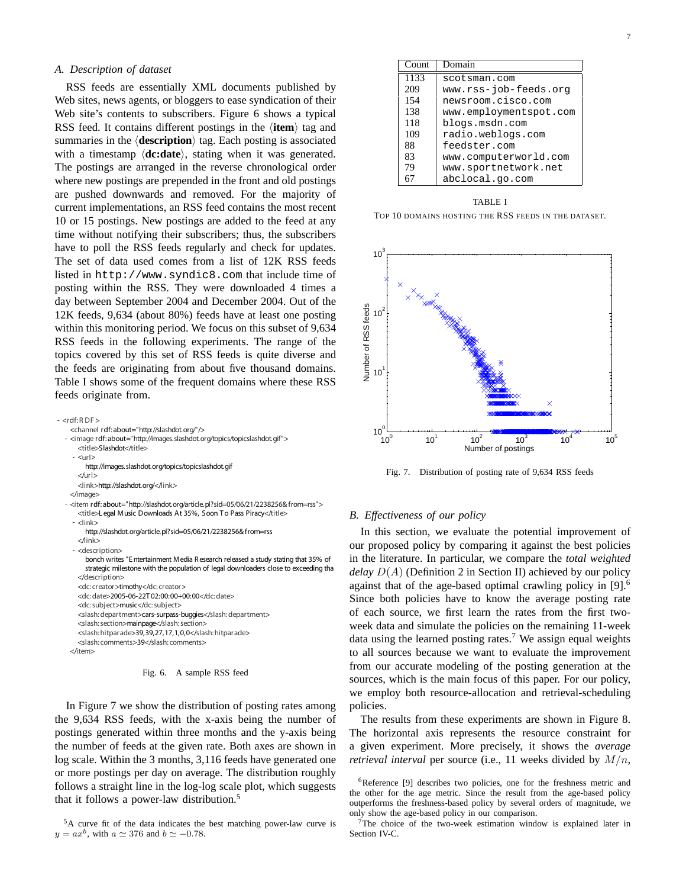#### *A. Description of dataset*

RSS feeds are essentially XML documents published by Web sites, news agents, or bloggers to ease syndication of their Web site's contents to subscribers. Figure 6 shows a typical RSS feed. It contains different postings in the  $\langle$ **item** $\rangle$  tag and summaries in the  $\langle$ **description** $\rangle$  tag. Each posting is associated with a timestamp  $\langle$ **dc:date** $\rangle$ , stating when it was generated. The postings are arranged in the reverse chronological order where new postings are prepended in the front and old postings are pushed downwards and removed. For the majority of current implementations, an RSS feed contains the most recent 10 or 15 postings. New postings are added to the feed at any time without notifying their subscribers; thus, the subscribers have to poll the RSS feeds regularly and check for updates. The set of data used comes from a list of 12K RSS feeds listed in http://www.syndic8.com that include time of posting within the RSS. They were downloaded 4 times a day between September 2004 and December 2004. Out of the 12K feeds, 9,634 (about 80%) feeds have at least one posting within this monitoring period. We focus on this subset of 9,634 RSS feeds in the following experiments. The range of the topics covered by this set of RSS feeds is quite diverse and the feeds are originating from about five thousand domains. Table I shows some of the frequent domains where these RSS feeds originate from.

| - <rdf:rdf></rdf:rdf>                                                                                                                                                  |
|------------------------------------------------------------------------------------------------------------------------------------------------------------------------|
| <channel about="http://slashdot.org/" rdf:=""></channel>                                                                                                               |
| - <image about="http://images.slashdot.org/topics/topicslashdot.gif" rdf:=""/><br><title>Slashdot</title>                                                              |
| - <url></url>                                                                                                                                                          |
| http://images.slashdot.org/topics/topicslashdot.gif                                                                                                                    |
| $<$ /url $>$                                                                                                                                                           |
| <link/> http://slashdot.org/                                                                                                                                           |
|                                                                                                                                                                        |
| - <item rdf:about="http://slashdot.org/article.pl?sid=05/06/21/2238256&amp;from=rss"><br/><title>Legal Music Downloads At 35%, Soon To Pass Piracy</title></item>      |
| $ <$ link $>$                                                                                                                                                          |
| http://slashdot.org/article.pl?sid=05/06/21/2238256&from=rss                                                                                                           |
| $<$ /link $>$                                                                                                                                                          |
| - <description></description>                                                                                                                                          |
| bonch writes "Entertainment Media Research released a study stating that 35% of<br>strategic milestone with the population of legal downloaders close to exceeding tha |
|                                                                                                                                                                        |
| <dc: creator="">timothy</dc:>                                                                                                                                          |
| <dc: date="">2005-06-22T02:00:00+00:00</dc:>                                                                                                                           |
| <dc: subject="">music</dc:>                                                                                                                                            |
| <slash: department="">cars-surpass-buggies</slash:>                                                                                                                    |
| <slash: section="">mainpage</slash:>                                                                                                                                   |
| <slash: hitparade="">39,39,27,17,1,0,0</slash:>                                                                                                                        |
| <slash: comments="">39</slash:>                                                                                                                                        |
|                                                                                                                                                                        |
|                                                                                                                                                                        |

Fig. 6. A sample RSS feed

In Figure 7 we show the distribution of posting rates among the 9,634 RSS feeds, with the x-axis being the number of postings generated within three months and the y-axis being the number of feeds at the given rate. Both axes are shown in log scale. Within the 3 months, 3,116 feeds have generated one or more postings per day on average. The distribution roughly follows a straight line in the log-log scale plot, which suggests that it follows a power-law distribution.<sup>5</sup>

| Count             | Domain                 |
|-------------------|------------------------|
| $11\overline{33}$ | scotsman.com           |
| 209               | www.rss-job-feeds.org  |
| 154               | newsroom.cisco.com     |
| 138               | www.employmentspot.com |
| 118               | blogs.msdn.com         |
| 109               | radio.weblogs.com      |
| 88                | feedster.com           |
| 83                | www.computerworld.com  |
| 79                | www.sportnetwork.net   |
|                   | abclocal.go.com        |

TABLE I

TOP 10 DOMAINS HOSTING THE RSS FEEDS IN THE DATASET.



Fig. 7. Distribution of posting rate of 9,634 RSS feeds

# *B. Effectiveness of our policy*

In this section, we evaluate the potential improvement of our proposed policy by comparing it against the best policies in the literature. In particular, we compare the *total weighted delay* D(A) (Definition 2 in Section II) achieved by our policy against that of the age-based optimal crawling policy in [9]. 6 Since both policies have to know the average posting rate of each source, we first learn the rates from the first twoweek data and simulate the policies on the remaining 11-week data using the learned posting rates.<sup>7</sup> We assign equal weights to all sources because we want to evaluate the improvement from our accurate modeling of the posting generation at the sources, which is the main focus of this paper. For our policy, we employ both resource-allocation and retrieval-scheduling policies.

The results from these experiments are shown in Figure 8. The horizontal axis represents the resource constraint for a given experiment. More precisely, it shows the *average retrieval interval* per source (i.e., 11 weeks divided by M/n,

<sup>7</sup>The choice of the two-week estimation window is explained later in Section IV-C.

 $5A$  curve fit of the data indicates the best matching power-law curve is  $y = ax^b$ , with  $a \approx 376$  and  $b \approx -0.78$ .

<sup>&</sup>lt;sup>6</sup>Reference [9] describes two policies, one for the freshness metric and the other for the age metric. Since the result from the age-based policy outperforms the freshness-based policy by several orders of magnitude, we only show the age-based policy in our comparison.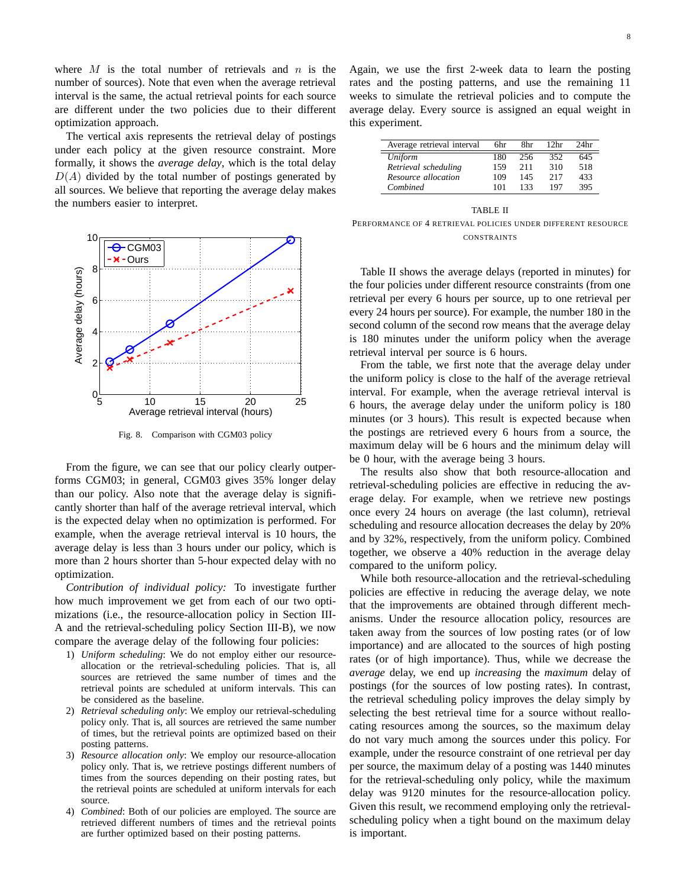where  $M$  is the total number of retrievals and  $n$  is the number of sources). Note that even when the average retrieval interval is the same, the actual retrieval points for each source are different under the two policies due to their different optimization approach.

The vertical axis represents the retrieval delay of postings under each policy at the given resource constraint. More formally, it shows the *average delay*, which is the total delay  $D(A)$  divided by the total number of postings generated by all sources. We believe that reporting the average delay makes the numbers easier to interpret.



Fig. 8. Comparison with CGM03 policy

From the figure, we can see that our policy clearly outperforms CGM03; in general, CGM03 gives 35% longer delay than our policy. Also note that the average delay is significantly shorter than half of the average retrieval interval, which is the expected delay when no optimization is performed. For example, when the average retrieval interval is 10 hours, the average delay is less than 3 hours under our policy, which is more than 2 hours shorter than 5-hour expected delay with no optimization.

*Contribution of individual policy:* To investigate further how much improvement we get from each of our two optimizations (i.e., the resource-allocation policy in Section III-A and the retrieval-scheduling policy Section III-B), we now compare the average delay of the following four policies:

- 1) *Uniform scheduling*: We do not employ either our resourceallocation or the retrieval-scheduling policies. That is, all sources are retrieved the same number of times and the retrieval points are scheduled at uniform intervals. This can be considered as the baseline.
- 2) *Retrieval scheduling only*: We employ our retrieval-scheduling policy only. That is, all sources are retrieved the same number of times, but the retrieval points are optimized based on their posting patterns.
- 3) *Resource allocation only*: We employ our resource-allocation policy only. That is, we retrieve postings different numbers of times from the sources depending on their posting rates, but the retrieval points are scheduled at uniform intervals for each source.
- 4) *Combined*: Both of our policies are employed. The source are retrieved different numbers of times and the retrieval points are further optimized based on their posting patterns.

Again, we use the first 2-week data to learn the posting rates and the posting patterns, and use the remaining 11 weeks to simulate the retrieval policies and to compute the average delay. Every source is assigned an equal weight in this experiment.

| Average retrieval interval | 6hr | 8hr | 12hr | 24 <sub>hr</sub> |
|----------------------------|-----|-----|------|------------------|
| Uniform                    | 180 | 256 | 352  | 645              |
| Retrieval scheduling       | 159 | 211 | 310  | 518              |
| Resource allocation        | 109 | 145 | 217  | 433              |
| Combined                   | 101 | 133 | 197  | 395              |

TABLE II PERFORMANCE OF 4 RETRIEVAL POLICIES UNDER DIFFERENT RESOURCE **CONSTRAINTS** 

Table II shows the average delays (reported in minutes) for the four policies under different resource constraints (from one retrieval per every 6 hours per source, up to one retrieval per every 24 hours per source). For example, the number 180 in the second column of the second row means that the average delay is 180 minutes under the uniform policy when the average retrieval interval per source is 6 hours.

From the table, we first note that the average delay under the uniform policy is close to the half of the average retrieval interval. For example, when the average retrieval interval is 6 hours, the average delay under the uniform policy is 180 minutes (or 3 hours). This result is expected because when the postings are retrieved every 6 hours from a source, the maximum delay will be 6 hours and the minimum delay will be 0 hour, with the average being 3 hours.

The results also show that both resource-allocation and retrieval-scheduling policies are effective in reducing the average delay. For example, when we retrieve new postings once every 24 hours on average (the last column), retrieval scheduling and resource allocation decreases the delay by 20% and by 32%, respectively, from the uniform policy. Combined together, we observe a 40% reduction in the average delay compared to the uniform policy.

While both resource-allocation and the retrieval-scheduling policies are effective in reducing the average delay, we note that the improvements are obtained through different mechanisms. Under the resource allocation policy, resources are taken away from the sources of low posting rates (or of low importance) and are allocated to the sources of high posting rates (or of high importance). Thus, while we decrease the *average* delay, we end up *increasing* the *maximum* delay of postings (for the sources of low posting rates). In contrast, the retrieval scheduling policy improves the delay simply by selecting the best retrieval time for a source without reallocating resources among the sources, so the maximum delay do not vary much among the sources under this policy. For example, under the resource constraint of one retrieval per day per source, the maximum delay of a posting was 1440 minutes for the retrieval-scheduling only policy, while the maximum delay was 9120 minutes for the resource-allocation policy. Given this result, we recommend employing only the retrievalscheduling policy when a tight bound on the maximum delay is important.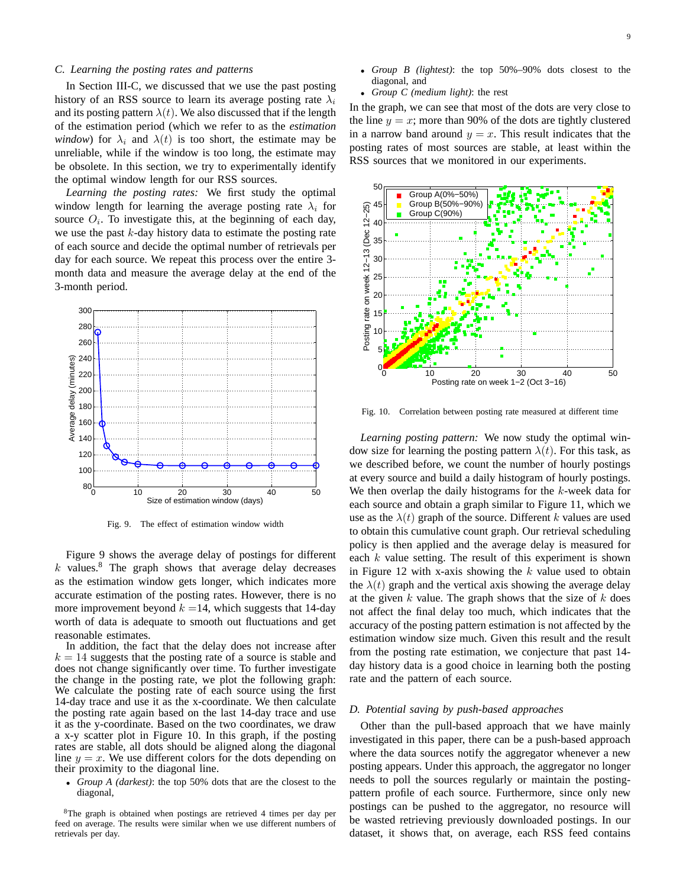#### *C. Learning the posting rates and patterns*

In Section III-C, we discussed that we use the past posting history of an RSS source to learn its average posting rate  $\lambda_i$ and its posting pattern  $\lambda(t)$ . We also discussed that if the length of the estimation period (which we refer to as the *estimation window*) for  $\lambda_i$  and  $\lambda(t)$  is too short, the estimate may be unreliable, while if the window is too long, the estimate may be obsolete. In this section, we try to experimentally identify the optimal window length for our RSS sources.

*Learning the posting rates:* We first study the optimal window length for learning the average posting rate  $\lambda_i$  for source  $O_i$ . To investigate this, at the beginning of each day, we use the past  $k$ -day history data to estimate the posting rate of each source and decide the optimal number of retrievals per day for each source. We repeat this process over the entire 3 month data and measure the average delay at the end of the 3-month period.



Fig. 9. The effect of estimation window width

Figure 9 shows the average delay of postings for different  $k$  values.<sup>8</sup> The graph shows that average delay decreases as the estimation window gets longer, which indicates more accurate estimation of the posting rates. However, there is no more improvement beyond  $k = 14$ , which suggests that 14-day worth of data is adequate to smooth out fluctuations and get reasonable estimates.

In addition, the fact that the delay does not increase after  $k = 14$  suggests that the posting rate of a source is stable and does not change significantly over time. To further investigate the change in the posting rate, we plot the following graph: We calculate the posting rate of each source using the first 14-day trace and use it as the x-coordinate. We then calculate the posting rate again based on the last 14-day trace and use it as the y-coordinate. Based on the two coordinates, we draw a x-y scatter plot in Figure 10. In this graph, if the posting rates are stable, all dots should be aligned along the diagonal line  $y = x$ . We use different colors for the dots depending on their proximity to the diagonal line.

• *Group A (darkest)*: the top 50% dots that are the closest to the diagonal,

<sup>8</sup>The graph is obtained when postings are retrieved 4 times per day per feed on average. The results were similar when we use different numbers of retrievals per day.

- *Group B (lightest)*: the top 50%–90% dots closest to the diagonal, and
- *Group C (medium light)*: the rest

In the graph, we can see that most of the dots are very close to the line  $y = x$ ; more than 90% of the dots are tightly clustered in a narrow band around  $y = x$ . This result indicates that the posting rates of most sources are stable, at least within the RSS sources that we monitored in our experiments.



Fig. 10. Correlation between posting rate measured at different time

*Learning posting pattern:* We now study the optimal window size for learning the posting pattern  $\lambda(t)$ . For this task, as we described before, we count the number of hourly postings at every source and build a daily histogram of hourly postings. We then overlap the daily histograms for the  $k$ -week data for each source and obtain a graph similar to Figure 11, which we use as the  $\lambda(t)$  graph of the source. Different k values are used to obtain this cumulative count graph. Our retrieval scheduling policy is then applied and the average delay is measured for each  $k$  value setting. The result of this experiment is shown in Figure 12 with x-axis showing the  $k$  value used to obtain the  $\lambda(t)$  graph and the vertical axis showing the average delay at the given  $k$  value. The graph shows that the size of  $k$  does not affect the final delay too much, which indicates that the accuracy of the posting pattern estimation is not affected by the estimation window size much. Given this result and the result from the posting rate estimation, we conjecture that past 14 day history data is a good choice in learning both the posting rate and the pattern of each source.

#### *D. Potential saving by push-based approaches*

Other than the pull-based approach that we have mainly investigated in this paper, there can be a push-based approach where the data sources notify the aggregator whenever a new posting appears. Under this approach, the aggregator no longer needs to poll the sources regularly or maintain the postingpattern profile of each source. Furthermore, since only new postings can be pushed to the aggregator, no resource will be wasted retrieving previously downloaded postings. In our dataset, it shows that, on average, each RSS feed contains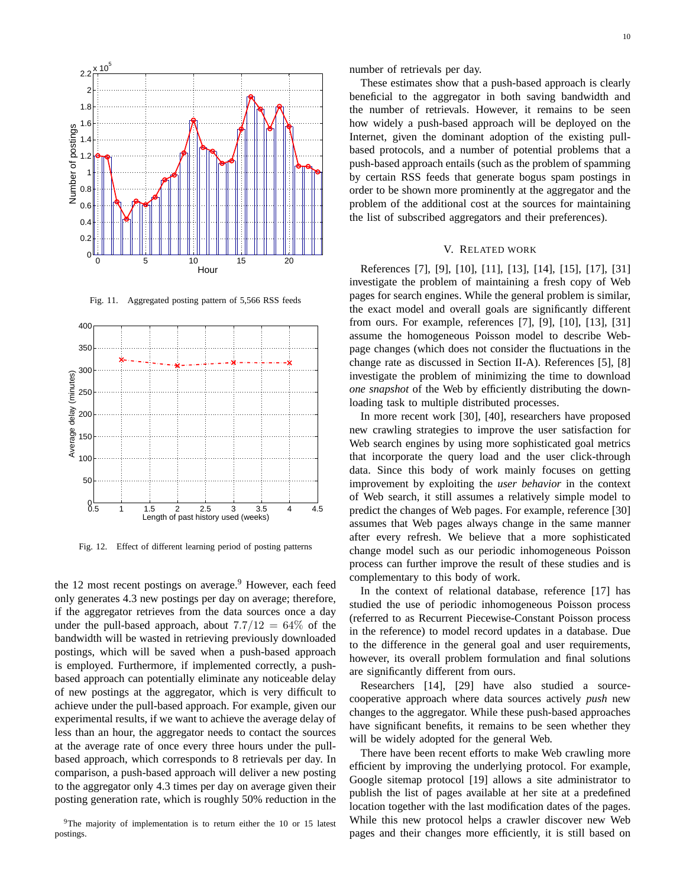

Fig. 11. Aggregated posting pattern of 5,566 RSS feeds



Fig. 12. Effect of different learning period of posting patterns

the 12 most recent postings on average.<sup>9</sup> However, each feed only generates 4.3 new postings per day on average; therefore, if the aggregator retrieves from the data sources once a day under the pull-based approach, about  $7.7/12 = 64\%$  of the bandwidth will be wasted in retrieving previously downloaded postings, which will be saved when a push-based approach is employed. Furthermore, if implemented correctly, a pushbased approach can potentially eliminate any noticeable delay of new postings at the aggregator, which is very difficult to achieve under the pull-based approach. For example, given our experimental results, if we want to achieve the average delay of less than an hour, the aggregator needs to contact the sources at the average rate of once every three hours under the pullbased approach, which corresponds to 8 retrievals per day. In comparison, a push-based approach will deliver a new posting to the aggregator only 4.3 times per day on average given their posting generation rate, which is roughly 50% reduction in the

 $9$ The majority of implementation is to return either the 10 or 15 latest postings.

number of retrievals per day.

These estimates show that a push-based approach is clearly beneficial to the aggregator in both saving bandwidth and the number of retrievals. However, it remains to be seen how widely a push-based approach will be deployed on the Internet, given the dominant adoption of the existing pullbased protocols, and a number of potential problems that a push-based approach entails (such as the problem of spamming by certain RSS feeds that generate bogus spam postings in order to be shown more prominently at the aggregator and the problem of the additional cost at the sources for maintaining the list of subscribed aggregators and their preferences).

# V. RELATED WORK

References [7], [9], [10], [11], [13], [14], [15], [17], [31] investigate the problem of maintaining a fresh copy of Web pages for search engines. While the general problem is similar, the exact model and overall goals are significantly different from ours. For example, references [7], [9], [10], [13], [31] assume the homogeneous Poisson model to describe Webpage changes (which does not consider the fluctuations in the change rate as discussed in Section II-A). References [5], [8] investigate the problem of minimizing the time to download *one snapshot* of the Web by efficiently distributing the downloading task to multiple distributed processes.

In more recent work [30], [40], researchers have proposed new crawling strategies to improve the user satisfaction for Web search engines by using more sophisticated goal metrics that incorporate the query load and the user click-through data. Since this body of work mainly focuses on getting improvement by exploiting the *user behavior* in the context of Web search, it still assumes a relatively simple model to predict the changes of Web pages. For example, reference [30] assumes that Web pages always change in the same manner after every refresh. We believe that a more sophisticated change model such as our periodic inhomogeneous Poisson process can further improve the result of these studies and is complementary to this body of work.

In the context of relational database, reference [17] has studied the use of periodic inhomogeneous Poisson process (referred to as Recurrent Piecewise-Constant Poisson process in the reference) to model record updates in a database. Due to the difference in the general goal and user requirements, however, its overall problem formulation and final solutions are significantly different from ours.

Researchers [14], [29] have also studied a sourcecooperative approach where data sources actively *push* new changes to the aggregator. While these push-based approaches have significant benefits, it remains to be seen whether they will be widely adopted for the general Web.

There have been recent efforts to make Web crawling more efficient by improving the underlying protocol. For example, Google sitemap protocol [19] allows a site administrator to publish the list of pages available at her site at a predefined location together with the last modification dates of the pages. While this new protocol helps a crawler discover new Web pages and their changes more efficiently, it is still based on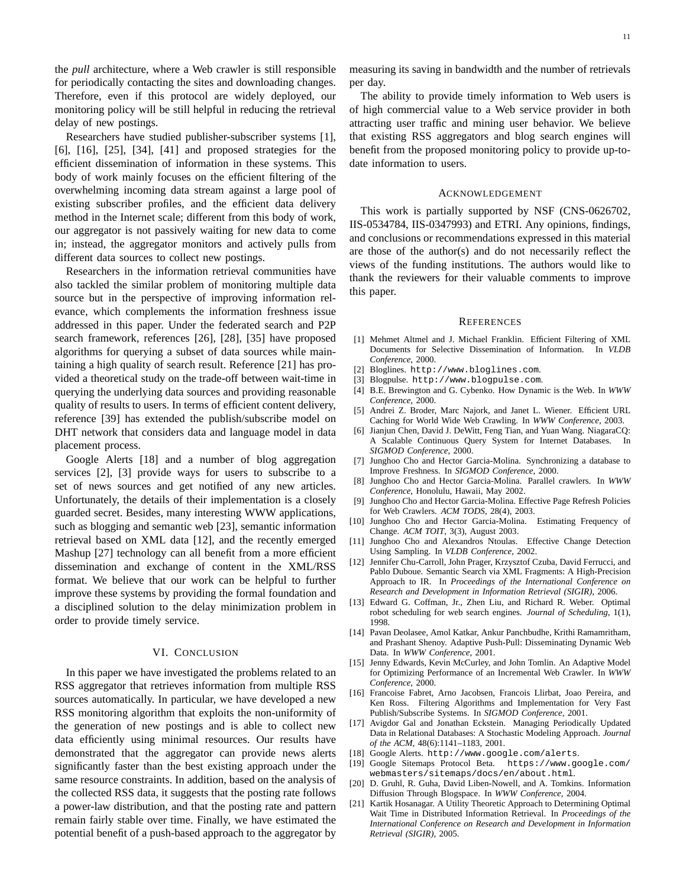the *pull* architecture, where a Web crawler is still responsible for periodically contacting the sites and downloading changes. Therefore, even if this protocol are widely deployed, our monitoring policy will be still helpful in reducing the retrieval delay of new postings.

Researchers have studied publisher-subscriber systems [1], [6], [16], [25], [34], [41] and proposed strategies for the efficient dissemination of information in these systems. This body of work mainly focuses on the efficient filtering of the overwhelming incoming data stream against a large pool of existing subscriber profiles, and the efficient data delivery method in the Internet scale; different from this body of work, our aggregator is not passively waiting for new data to come in; instead, the aggregator monitors and actively pulls from different data sources to collect new postings.

Researchers in the information retrieval communities have also tackled the similar problem of monitoring multiple data source but in the perspective of improving information relevance, which complements the information freshness issue addressed in this paper. Under the federated search and P2P search framework, references [26], [28], [35] have proposed algorithms for querying a subset of data sources while maintaining a high quality of search result. Reference [21] has provided a theoretical study on the trade-off between wait-time in querying the underlying data sources and providing reasonable quality of results to users. In terms of efficient content delivery, reference [39] has extended the publish/subscribe model on DHT network that considers data and language model in data placement process.

Google Alerts [18] and a number of blog aggregation services [2], [3] provide ways for users to subscribe to a set of news sources and get notified of any new articles. Unfortunately, the details of their implementation is a closely guarded secret. Besides, many interesting WWW applications, such as blogging and semantic web [23], semantic information retrieval based on XML data [12], and the recently emerged Mashup [27] technology can all benefit from a more efficient dissemination and exchange of content in the XML/RSS format. We believe that our work can be helpful to further improve these systems by providing the formal foundation and a disciplined solution to the delay minimization problem in order to provide timely service.

#### VI. CONCLUSION

In this paper we have investigated the problems related to an RSS aggregator that retrieves information from multiple RSS sources automatically. In particular, we have developed a new RSS monitoring algorithm that exploits the non-uniformity of the generation of new postings and is able to collect new data efficiently using minimal resources. Our results have demonstrated that the aggregator can provide news alerts significantly faster than the best existing approach under the same resource constraints. In addition, based on the analysis of the collected RSS data, it suggests that the posting rate follows a power-law distribution, and that the posting rate and pattern remain fairly stable over time. Finally, we have estimated the potential benefit of a push-based approach to the aggregator by

measuring its saving in bandwidth and the number of retrievals per day.

The ability to provide timely information to Web users is of high commercial value to a Web service provider in both attracting user traffic and mining user behavior. We believe that existing RSS aggregators and blog search engines will benefit from the proposed monitoring policy to provide up-todate information to users.

#### ACKNOWLEDGEMENT

This work is partially supported by NSF (CNS-0626702, IIS-0534784, IIS-0347993) and ETRI. Any opinions, findings, and conclusions or recommendations expressed in this material are those of the author(s) and do not necessarily reflect the views of the funding institutions. The authors would like to thank the reviewers for their valuable comments to improve this paper.

#### **REFERENCES**

- [1] Mehmet Altmel and J. Michael Franklin. Efficient Filtering of XML Documents for Selective Dissemination of Information. In *VLDB Conference*, 2000.
- [2] Bloglines. http://www.bloglines.com.
- [3] Blogpulse. http://www.blogpulse.com.
- [4] B.E. Brewington and G. Cybenko. How Dynamic is the Web. In *WWW Conference*, 2000.
- [5] Andrei Z. Broder, Marc Najork, and Janet L. Wiener. Efficient URL Caching for World Wide Web Crawling. In *WWW Conference*, 2003.
- [6] Jianjun Chen, David J. DeWitt, Feng Tian, and Yuan Wang. NiagaraCQ: A Scalable Continuous Query System for Internet Databases. In *SIGMOD Conference*, 2000.
- [7] Junghoo Cho and Hector Garcia-Molina. Synchronizing a database to Improve Freshness. In *SIGMOD Conference*, 2000.
- [8] Junghoo Cho and Hector Garcia-Molina. Parallel crawlers. In *WWW Conference*, Honolulu, Hawaii, May 2002.
- [9] Junghoo Cho and Hector Garcia-Molina. Effective Page Refresh Policies for Web Crawlers. *ACM TODS*, 28(4), 2003.
- [10] Junghoo Cho and Hector Garcia-Molina. Estimating Frequency of Change. *ACM TOIT*, 3(3), August 2003.
- [11] Junghoo Cho and Alexandros Ntoulas. Effective Change Detection Using Sampling. In *VLDB Conference*, 2002.
- [12] Jennifer Chu-Carroll, John Prager, Krzysztof Czuba, David Ferrucci, and Pablo Duboue. Semantic Search via XML Fragments: A High-Precision Approach to IR. In *Proceedings of the International Conference on Research and Development in Information Retrieval (SIGIR)*, 2006.
- [13] Edward G. Coffman, Jr., Zhen Liu, and Richard R. Weber. Optimal robot scheduling for web search engines. *Journal of Scheduling*, 1(1), 1998.
- [14] Pavan Deolasee, Amol Katkar, Ankur Panchbudhe, Krithi Ramamritham, and Prashant Shenoy. Adaptive Push-Pull: Disseminating Dynamic Web Data. In *WWW Conference*, 2001.
- [15] Jenny Edwards, Kevin McCurley, and John Tomlin. An Adaptive Model for Optimizing Performance of an Incremental Web Crawler. In *WWW Conference*, 2000.
- [16] Francoise Fabret, Arno Jacobsen, Francois Llirbat, Joao Pereira, and Ken Ross. Filtering Algorithms and Implementation for Very Fast Publish/Subscribe Systems. In *SIGMOD Conference*, 2001.
- [17] Avigdor Gal and Jonathan Eckstein. Managing Periodically Updated Data in Relational Databases: A Stochastic Modeling Approach. *Journal of the ACM*, 48(6):1141–1183, 2001.
- [18] Google Alerts. http://www.google.com/alerts.
- [19] Google Sitemaps Protocol Beta. https://www.google.com/ webmasters/sitemaps/docs/en/about.html.
- [20] D. Gruhl, R. Guha, David Liben-Nowell, and A. Tomkins. Information Diffusion Through Blogspace. In *WWW Conference*, 2004.
- [21] Kartik Hosanagar. A Utility Theoretic Approach to Determining Optimal Wait Time in Distributed Information Retrieval. In *Proceedings of the International Conference on Research and Development in Information Retrieval (SIGIR)*, 2005.